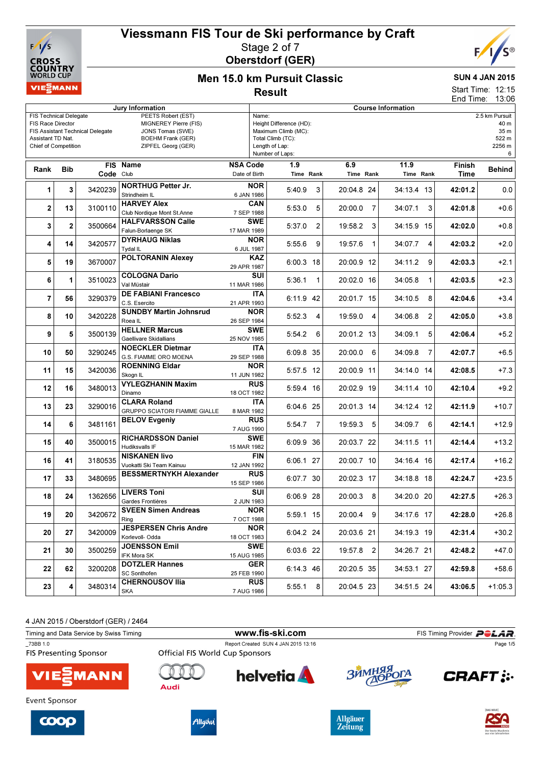



# Men 15.0 km Pursuit Classic Result

### SUN 4 JAN 2015

12:15 13:06 Start Time: End Time:

| Jury Information                                                                                                                                  |                |           |                                                                                                                   | ENU TIME.<br>19.00<br><b>Course Information</b> |                                                                                                                   |                  |                |                  |                   |                           |                                                        |  |  |
|---------------------------------------------------------------------------------------------------------------------------------------------------|----------------|-----------|-------------------------------------------------------------------------------------------------------------------|-------------------------------------------------|-------------------------------------------------------------------------------------------------------------------|------------------|----------------|------------------|-------------------|---------------------------|--------------------------------------------------------|--|--|
| <b>FIS Technical Delegate</b><br><b>FIS Race Director</b><br>FIS Assistant Technical Delegate<br>Assistant TD Nat.<br><b>Chief of Competition</b> |                |           | PEETS Robert (EST)<br>MIGNEREY Pierre (FIS)<br>JONS Tomas (SWE)<br><b>BOEHM Frank (GER)</b><br>ZIPFEL Georg (GER) |                                                 | Name:<br>Height Difference (HD):<br>Maximum Climb (MC):<br>Total Climb (TC):<br>Length of Lap:<br>Number of Laps: |                  |                |                  |                   |                           | 2.5 km Pursuit<br>40 m<br>35 m<br>522 m<br>2256 m<br>6 |  |  |
| Rank                                                                                                                                              | <b>Bib</b>     | Code Club | FIS Name                                                                                                          | <b>NSA Code</b><br>Date of Birth                |                                                                                                                   | 1.9<br>Time Rank |                | 6.9<br>Time Rank | 11.9<br>Time Rank | Finish<br><b>Time</b>     | <b>Behind</b>                                          |  |  |
| 1                                                                                                                                                 | 3              | 3420239   | <b>NORTHUG Petter Jr.</b><br>Strindheim IL                                                                        | 6 JAN 1986                                      | <b>NOR</b>                                                                                                        | 5:40.9           | 3              | 20:04.8 24       | 34:13.4 13        | 42:01.2                   | 0.0                                                    |  |  |
| $\mathbf{2}$                                                                                                                                      | 13             | 3100110   | <b>HARVEY Alex</b><br>Club Nordique Mont St.Anne                                                                  | 7 SEP 1988                                      | <b>CAN</b>                                                                                                        | 5:53.0           | 5              | 20:00.0<br>-7    | 34:07.1           | 42:01.8<br>3              | $+0.6$                                                 |  |  |
| 3                                                                                                                                                 | $\overline{2}$ | 3500664   | <b>HALFVARSSON Calle</b><br>Falun-Borlaenge SK                                                                    | 17 MAR 1989                                     | <b>SWE</b>                                                                                                        | 5:37.0           | $\overline{2}$ | 19:58.2<br>3     | 34:15.9 15        | 42:02.0                   | $+0.8$                                                 |  |  |
| 4                                                                                                                                                 | 14             | 3420577   | <b>DYRHAUG Niklas</b><br>Tydal IL                                                                                 | 6 JUL 1987                                      | <b>NOR</b>                                                                                                        | 5:55.6           | 9              | 19:57.6<br>1     | 34:07.7           | 4<br>42:03.2              | $+2.0$                                                 |  |  |
| 5                                                                                                                                                 | 19             | 3670007   | <b>POLTORANIN Alexey</b>                                                                                          | 29 APR 1987                                     | <b>KAZ</b>                                                                                                        | $6:00.3$ 18      |                | 20:00.9 12       | 34:11.2           | 42:03.3<br>9              | $+2.1$                                                 |  |  |
| 6                                                                                                                                                 | 1              | 3510023   | <b>COLOGNA Dario</b><br>Val Müstair                                                                               | 11 MAR 1986                                     | SUI                                                                                                               | 5:36.1           | 1              | 20:02.0 16       | 34:05.8           | 42:03.5<br>1              | $+2.3$                                                 |  |  |
| 7                                                                                                                                                 | 56             | 3290379   | <b>DE FABIANI Francesco</b><br>C.S. Esercito                                                                      | 21 APR 1993                                     | ITA                                                                                                               | 6:11.9 42        |                | 20:01.7 15       | 34:10.5           | 8<br>42:04.6              | $+3.4$                                                 |  |  |
| 8                                                                                                                                                 | 10             | 3420228   | <b>SUNDBY Martin Johnsrud</b><br>Roea <sub>IL</sub>                                                               | 26 SEP 1984                                     | <b>NOR</b>                                                                                                        | 5:52.3           | 4              | 19:59.0 4        | 34:06.8           | 2<br>42:05.0              | $+3.8$                                                 |  |  |
| 9                                                                                                                                                 | 5              | 3500139   | <b>HELLNER Marcus</b><br>Gaellivare Skidallians                                                                   | 25 NOV 1985                                     | <b>SWE</b>                                                                                                        | 5:54.2           | 6              | 20:01.2 13       | 34:09.1           | 5<br>42:06.4              | $+5.2$                                                 |  |  |
| 10                                                                                                                                                | 50             | 3290245   | <b>NOECKLER Dietmar</b><br>G.S. FIAMME ORO MOENA                                                                  | 29 SEP 1988                                     | <b>ITA</b>                                                                                                        | 6:09.8 35        |                | 20:00.0<br>6     | 34:09.8           | $\overline{7}$<br>42:07.7 | $+6.5$                                                 |  |  |
| 11                                                                                                                                                | 15             | 3420036   | <b>ROENNING Eldar</b><br>Skogn IL                                                                                 | 11 JUN 1982                                     | <b>NOR</b>                                                                                                        | 5:57.5 12        |                | 20:00.9 11       | 34:14.0 14        | 42:08.5                   | $+7.3$                                                 |  |  |
| 12                                                                                                                                                | 16             | 3480013   | <b>VYLEGZHANIN Maxim</b><br>Dinamo                                                                                | 18 OCT 1982                                     | <b>RUS</b>                                                                                                        | 5:59.4 16        |                | 20:02.9 19       | 34:11.4 10        | 42:10.4                   | $+9.2$                                                 |  |  |
| 13                                                                                                                                                | 23             | 3290016   | <b>CLARA Roland</b><br><b>GRUPPO SCIATORI FIAMME GIALLE</b>                                                       | 8 MAR 1982                                      | <b>ITA</b>                                                                                                        | 6:04.6 25        |                | 20:01.3 14       | 34:12.4 12        | 42:11.9                   | $+10.7$                                                |  |  |
| 14                                                                                                                                                | 6              | 3481161   | <b>BELOV Evgeniy</b>                                                                                              | 7 AUG 1990                                      | <b>RUS</b>                                                                                                        | 5:54.7           | 7              | 19:59.3<br>5     | 34:09.7           | 6<br>42:14.1              | $+12.9$                                                |  |  |
| 15                                                                                                                                                | 40             | 3500015   | <b>RICHARDSSON Daniel</b><br>Hudiksvalls IF                                                                       | 15 MAR 1982                                     | <b>SWE</b>                                                                                                        | 6:09.9 36        |                | 20:03.7 22       | 34:11.5 11        | 42:14.4                   | $+13.2$                                                |  |  |
| 16                                                                                                                                                | 41             | 3180535   | <b>NISKANEN livo</b><br>Vuokatti Ski Team Kainuu                                                                  | 12 JAN 1992                                     | <b>FIN</b>                                                                                                        | 6:06.1 27        |                | 20:00.7 10       | 34:16.4 16        | 42:17.4                   | $+16.2$                                                |  |  |
| 17                                                                                                                                                | 33             | 3480695   | <b>BESSMERTNYKH Alexander</b>                                                                                     | 15 SEP 1986                                     | <b>RUS</b>                                                                                                        | 6:07.7 30        |                | 20:02.3 17       | 34:18.8 18        | 42:24.7                   | $+23.5$                                                |  |  |
| 18                                                                                                                                                | 24             | 1362656   | <b>LIVERS Toni</b><br>Gardes Frontières                                                                           | 2 JUN 1983                                      | SUI                                                                                                               | 6:06.9 28        |                | 20:00.3 8        | 34:20.0 20        | 42:27.5                   | $+26.3$                                                |  |  |
| 19                                                                                                                                                | 20             | 3420672   | <b>SVEEN Simen Andreas</b><br>Ring                                                                                | 7 OCT 1988                                      | <b>NOR</b>                                                                                                        | 5:59.1 15        |                | 20:00.4 9        | 34:17.6 17        | 42:28.0                   | $+26.8$                                                |  |  |
| 20                                                                                                                                                | 27             | 3420009   | <b>JESPERSEN Chris Andre</b><br>Korlevoll- Odda                                                                   | 18 OCT 1983                                     | <b>NOR</b>                                                                                                        | 6:04.2 24        |                | 20:03.6 21       | 34:19.3 19        | 42:31.4                   | $+30.2$                                                |  |  |
| 21                                                                                                                                                | 30             | 3500259   | JOENSSON Emil<br>IFK Mora SK                                                                                      | 15 AUG 1985                                     | <b>SWE</b>                                                                                                        | 6:03.6 22        |                | 19:57.8 2        | 34:26.7 21        | 42:48.2                   | $+47.0$                                                |  |  |
| 22                                                                                                                                                | 62             | 3200208   | <b>DOTZLER Hannes</b><br><b>SC Sonthofen</b>                                                                      | 25 FEB 1990                                     | <b>GER</b>                                                                                                        | 6:14.3 46        |                | 20:20.5 35       | 34:53.1 27        | 42:59.8                   | $+58.6$                                                |  |  |
| 23                                                                                                                                                | 4              | 3480314   | <b>CHERNOUSOV Ilia</b><br><b>SKA</b>                                                                              | 7 AUG 1986                                      | <b>RUS</b>                                                                                                        | $5:55.1$ 8       |                | 20:04.5 23       | 34:51.5 24        | 43:06.5                   | $+1:05.3$                                              |  |  |

4 JAN 2015 / Oberstdorf (GER) / 2464

| Timing and Data Service by Swiss Timing   |                                        | www.fis-ski.com                     |            | FIS Timing Provider <b>POLAR</b> |
|-------------------------------------------|----------------------------------------|-------------------------------------|------------|----------------------------------|
| 73BB 1.0<br><b>FIS Presenting Sponsor</b> | <b>Official FIS World Cup Sponsors</b> | Report Created SUN 4 JAN 2015 13:16 |            | Page 1/5                         |
| <b>VIESMANN</b>                           | Audi                                   | helvetia <b>A</b>                   | ЗЙМНЯЯ ОГА | <b>CRAFT:</b>                    |
| Event Sponsor                             |                                        |                                     |            |                                  |







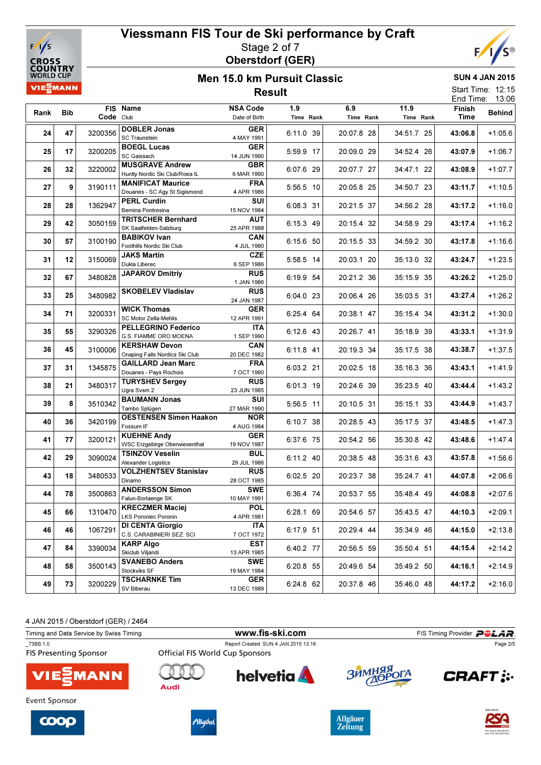



### Men 15.0 km Pursuit Classic Result

SUN 4 JAN 2015 Start Time: 12:15

|      |     |           |                                                            |                                  |                  |                  |                   |                | End Time: 13:06 |
|------|-----|-----------|------------------------------------------------------------|----------------------------------|------------------|------------------|-------------------|----------------|-----------------|
| Rank | Bib | Code Club | FIS Name                                                   | <b>NSA Code</b><br>Date of Birth | 1.9<br>Time Rank | 6.9<br>Time Rank | 11.9<br>Time Rank | Finish<br>Time | <b>Behind</b>   |
| 24   | 47  | 3200356   | <b>DOBLER Jonas</b><br><b>SC Traunstein</b>                | <b>GER</b><br>4 MAY 1991         | 6:11.0 39        | 20:07.8 28       | 34:51.7 25        | 43:06.8        | $+1:05.6$       |
| 25   | 17  | 3200205   | <b>BOEGL Lucas</b><br>SC Gaissach                          | <b>GER</b><br>14 JUN 1990        | 5:59.9 17        | 20:09.0 29       | 34:52.4 26        | 43:07.9        | $+1:06.7$       |
| 26   | 32  | 3220002   | <b>MUSGRAVE Andrew</b><br>Huntly Nordic Ski Club/Roea IL   | <b>GBR</b><br>6 MAR 1990         | 6:07.6 29        | 20:07.7 27       | 34:47.1 22        | 43:08.9        | $+1:07.7$       |
| 27   | 9   | 3190111   | <b>MANIFICAT Maurice</b><br>Douanes - SC Agy St Sigismond  | <b>FRA</b><br>4 APR 1986         | $5:56.5$ 10      | 20:05.8 25       | 34:50.7 23        | 43:11.7        | $+1:10.5$       |
| 28   | 28  | 1362947   | <b>PERL Curdin</b><br>Bernina Pontresina                   | SUI<br>15 NOV 1984               | 6:08.3 31        | 20:21.5 37       | 34:56.2 28        | 43:17.2        | $+1:16.0$       |
| 29   | 42  | 3050159   | <b>TRITSCHER Bernhard</b><br>SK Saalfelden-Salzburg        | <b>AUT</b><br>25 APR 1988        | 6:15.3 49        | 20:15.4 32       | 34:58.9 29        | 43:17.4        | $+1:16.2$       |
| 30   | 57  | 3100190   | <b>BABIKOV Ivan</b><br>Foothills Nordic Ski Club           | CAN<br>4 JUL 1980                | 6:15.6 50        | 20:15.5 33       | 34:59.2 30        | 43:17.8        | $+1:16.6$       |
| 31   | 12  | 3150069   | <b>JAKS Martin</b><br>Dukla Liberec                        | <b>CZE</b><br>6 SEP 1986         | 5:58.5 14        | 20:03.1 20       | 35:13.0 32        | 43:24.7        | $+1:23.5$       |
| 32   | 67  | 3480828   | <b>JAPAROV Dmitriy</b>                                     | <b>RUS</b><br>1 JAN 1986         | 6:19.9 54        | 20:21.2 36       | 35:15.9 35        | 43:26.2        | $+1:25.0$       |
| 33   | 25  | 3480982   | <b>SKOBELEV Vladislav</b>                                  | <b>RUS</b><br>24 JAN 1987        | 6:04.0 23        | 20:06.4 26       | 35:03.5 31        | 43:27.4        | $+1:26.2$       |
| 34   | 71  | 3200331   | <b>WICK Thomas</b><br>SC Motor Zella-Mehlis                | <b>GER</b><br>12 APR 1991        | 6:25.4 64        | 20:38.1 47       | 35:15.4 34        | 43:31.2        | $+1:30.0$       |
| 35   | 55  | 3290326   | <b>PELLEGRINO Federico</b><br>G.S. FIAMME ORO MOENA        | ITA.<br>1 SEP 1990               | $6:12.6$ 43      | 20:26.7 41       | 35:18.9 39        | 43:33.1        | $+1:31.9$       |
| 36   | 45  | 3100006   | <b>KERSHAW Devon</b><br>Onaping Falls Nordics Ski Club     | CAN<br>20 DEC 1982               | 6:11.8 41        | 20:19.3 34       | 35:17.5 38        | 43:38.7        | $+1:37.5$       |
| 37   | 31  | 1345875   | <b>GAILLARD Jean Marc</b><br>Douanes - Pays Rochois        | <b>FRA</b><br>7 OCT 1980         | 6:03.2 21        | 20:02.5 18       | 35:16.3 36        | 43:43.1        | $+1:41.9$       |
| 38   | 21  | 3480317   | <b>TURYSHEV Sergey</b><br>Ugra Svsm 2                      | <b>RUS</b><br>23 JUN 1985        | 6:01.3 19        | 20:24.6 39       | 35:23.5 40        | 43:44.4        | $+1:43.2$       |
| 39   | 8   | 3510342   | <b>BAUMANN Jonas</b><br>Tambo Splügen                      | SUI<br>27 MAR 1990               | 5:56.5 11        | 20:10.5 31       | 35:15.1 33        | 43:44.9        | $+1:43.7$       |
| 40   | 36  | 3420199   | <b>OESTENSEN Simen Haakon</b><br>Fossum IF                 | NOR<br>4 AUG 1984                | 6:10.7 38        | 20:28.5 43       | 35:17.5 37        | 43:48.5        | $+1:47.3$       |
| 41   | 77  | 3200121   | <b>KUEHNE Andy</b><br><b>WSC Erzgebirge Oberwiesenthal</b> | <b>GER</b><br>19 NOV 1987        | 6:37.6 75        | 20:54.2 56       | 35:30.8 42        | 43:48.6        | $+1:47.4$       |
| 42   | 29  | 3090024   | <b>TSINZOV Veselin</b><br>Alexander Logistics              | <b>BUL</b><br>29 JUL 1986        | 6:11.2 40        | 20:38.5 48       | 35:31.6 43        | 43:57.8        | $+1:56.6$       |
| 43   | 18  | 3480533   | <b>VOLZHENTSEV Stanislav</b><br>Dinamo                     | <b>RUS</b><br>28 OCT 1985        | 6:02.5 20        | 20:23.7 38       | 35:24.7 41        | 44:07.8        | $+2:06.6$       |
| 44   | 78  | 3500863   | <b>ANDERSSON Simon</b><br>Falun-Borlaenge SK               | <b>SWE</b><br>10 MAY 1991        | 6:36.4 74        | 20:53.7 55       | 35:48.4 49        | 44:08.8        | $+2:07.6$       |
| 45   | 66  | 1310470   | <b>KRECZMER Maciej</b><br><b>LKS Poroniec Poronin</b>      | <b>POL</b><br>4 APR 1981         | 6:28.1 69        | 20:54.6 57       | 35:43.5 47        | 44:10.3        | $+2:09.1$       |
| 46   | 46  | 1067291   | <b>DI CENTA Giorgio</b><br>C.S. CARABINIERI SEZ. SCI       | ITA<br>7 OCT 1972                | 6:17.9 51        | 20:29.4 44       | 35:34.9 46        | 44:15.0        | $+2:13.8$       |
| 47   | 84  | 3390034   | <b>KARP Algo</b><br>Skiclub Viljandi                       | <b>EST</b><br>13 APR 1985        | 6:40.2 77        | 20:56.5 59       | 35:50.4 51        | 44:15.4        | $+2:14.2$       |
| 48   | 58  | 3500143   | <b>SVANEBO Anders</b><br>Stockviks SF                      | <b>SWE</b><br>19 MAY 1984        | 6:20.8 55        | 20:49.6 54       | 35:49.2 50        | 44:16.1        | $+2:14.9$       |
| 49   | 73  | 3200229   | <b>TSCHARNKE Tim</b><br>SV Biberau                         | <b>GER</b><br>13 DEC 1989        | 6:24.8 62        | 20:37.8 46       | 35:46.0 48        | 44:17.2        | $+2:16.0$       |

4 JAN 2015 / Oberstdorf (GER) / 2464

Timing and Data Service by Swiss Timing **WWW.fis-Ski.com** FIS Timing Provider PCLAR. \_73BB 1.0<br>
Report Created SUN 4 JAN 2015 13:16<br>
FIS Presenting Sponsor<br>
Official FIS World Cup Sponsors Page 2/5**FIS Presenting Sponsor**  $\bigcap$ **helvetia 3** MMHA **CRAFT: :. MANN** Audi Event Sponsor







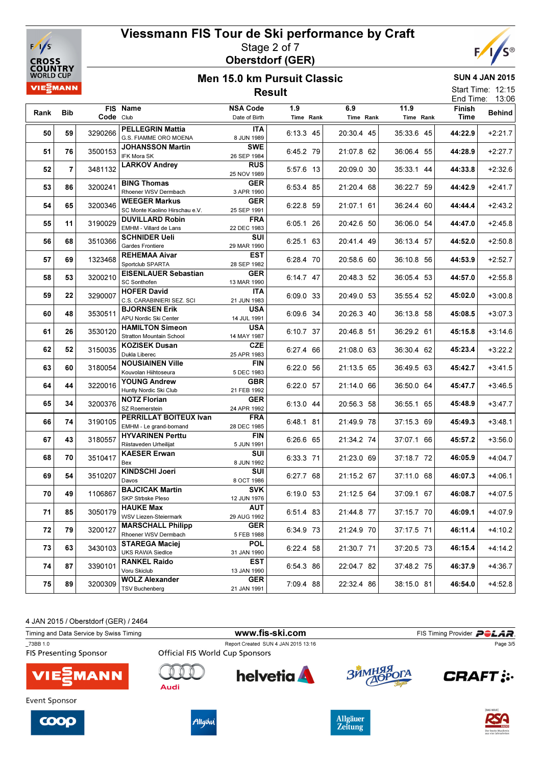



#### Men 15.0 km Pursuit Classic Result

SUN 4 JAN 2015

| <b>VIEZMANN</b> |          |                    |                                                                  |                                         | <b>Result</b>          |                          |                          |                    | Start Time: 12:15<br>End Time: 13:06 |
|-----------------|----------|--------------------|------------------------------------------------------------------|-----------------------------------------|------------------------|--------------------------|--------------------------|--------------------|--------------------------------------|
| Rank            | Bib      | Code Club          | FIS Name                                                         | <b>NSA Code</b><br>Date of Birth        | 1.9<br>Time Rank       | 6.9<br>Time Rank         | 11.9<br>Time Rank        | Finish<br>Time     | <b>Behind</b>                        |
| 50              | 59       | 3290266            | <b>PELLEGRIN Mattia</b><br>G.S. FIAMME ORO MOENA                 | ITA<br>8 JUN 1989                       | 6:13.3 45              | 20:30.4 45               | 35:33.6 45               | 44:22.9            | $+2:21.7$                            |
| 51              | 76       | 3500153            | <b>JOHANSSON Martin</b><br>IFK Mora SK                           | <b>SWE</b><br>26 SEP 1984               | 6:45.2 79              | 21:07.8 62               | 36:06.4 55               | 44:28.9            | $+2:27.7$                            |
| 52              | 7        | 3481132            | <b>LARKOV Andrey</b>                                             | <b>RUS</b><br>25 NOV 1989               | 5:57.6 13              | 20:09.0 30               | 35:33.1 44               | 44:33.8            | $+2:32.6$                            |
| 53              | 86       | 3200241            | <b>BING Thomas</b><br>Rhoener WSV Dermbach                       | <b>GER</b><br>3 APR 1990                | 6:53.4 85              | 21:20.4 68               | 36:22.7 59               | 44:42.9            | $+2:41.7$                            |
| 54              | 65       | 3200346            | <b>WEEGER Markus</b><br>SC Monte Kaolino Hirschau e.V.           | <b>GER</b><br>25 SEP 1991               | 6:22.8 59              | 21:07.1 61               | 36:24.4 60               | 44:44.4            | $+2:43.2$                            |
| 55              | 11       | 3190029            | <b>DUVILLARD Robin</b><br>EMHM - Villard de Lans                 | <b>FRA</b><br>22 DEC 1983               | 6:05.1 26              | 20:42.6 50               | 36:06.0 54               | 44:47.0            | $+2:45.8$                            |
| 56              | 68       | 3510366            | <b>SCHNIDER Ueli</b><br>Gardes Frontiere                         | SUI<br>29 MAR 1990                      | 6:25.1 63              | 20:41.4 49               | 36:13.4 57               | 44:52.0            | $+2:50.8$                            |
| 57              | 69       | 1323468            | <b>REHEMAA Aivar</b><br>Sportclub SPARTA                         | EST<br>28 SEP 1982                      | 6:28.4 70              | 20:58.6 60               | 36:10.8 56               | 44:53.9            | $+2:52.7$                            |
| 58              | 53       | 3200210            | <b>EISENLAUER Sebastian</b><br>SC Sonthofen                      | <b>GER</b><br>13 MAR 1990               | 6:14.7 47              | 20:48.3 52               | 36:05.4 53               | 44:57.0            | $+2:55.8$                            |
| 59              | 22       | 3290007            | <b>HOFER David</b><br>C.S. CARABINIERI SEZ. SCI                  | ITA<br>21 JUN 1983                      | 6:09.0 33              | 20:49.0 53               | 35:55.4 52               | 45:02.0            | $+3:00.8$                            |
| 60              | 48       | 3530511            | <b>BJORNSEN Erik</b><br>APU Nordic Ski Center                    | <b>USA</b><br>14 JUL 1991               | 6:09.6 34              | 20:26.3 40               | 36:13.8 58               | 45:08.5            | $+3:07.3$                            |
| 61              | 26       | 3530120            | <b>HAMILTON Simeon</b><br>Stratton Mountain School               | <b>USA</b><br>14 MAY 1987<br><b>CZE</b> | 6:10.7 37              | 20:46.8 51               | 36:29.2 61               | 45:15.8            | $+3:14.6$                            |
| 62              | 52       | 3150035            | <b>KOZISEK Dusan</b><br>Dukla Liberec<br><b>NOUSIAINEN Ville</b> | 25 APR 1983<br><b>FIN</b>               | 6:27.4 66              | 21:08.0 63               | 36:30.4 62               | 45:23.4            | $+3:22.2$                            |
| 63              | 60       | 3180054            | Kouvolan Hiihtoseura<br><b>YOUNG Andrew</b>                      | 5 DEC 1983<br><b>GBR</b>                | 6:22.0 56              | 21:13.5 65               | 36:49.5 63               | 45:42.7            | $+3:41.5$                            |
| 64              | 44       | 3220016            | Huntly Nordic Ski Club<br><b>NOTZ Florian</b>                    | 21 FEB 1992<br><b>GER</b>               | 6:22.0 57              | 21:14.0 66               | 36:50.0 64               | 45:47.7            | $+3:46.5$                            |
| 65              | 34       | 3200376            | SZ Roemerstein<br>PERRILLAT BOITEUX Ivan                         | 24 APR 1992<br><b>FRA</b>               | 6:13.0 44              | 20:56.3 58               | 36:55.1 65               | 45:48.9            | $+3:47.7$                            |
| 66              | 74       | 3190105            | EMHM - Le grand-bornand<br><b>HYVARINEN Perttu</b>               | 28 DEC 1985<br><b>FIN</b>               | 6:48.1 81              | 21:49.9 78               | 37:15.3 69               | 45:49.3            | $+3:48.1$                            |
| 67              | 43       | 3180557            | Riistaveden Urheilijat<br><b>KAESER Erwan</b>                    | 5 JUN 1991<br>SUI                       | 6:26.6 65              | 21:34.2 74               | 37:07.1 66               | 45:57.2            | $+3:56.0$                            |
| 68              | 70       | 3510417            | Bex<br><b>KINDSCHI Joeri</b>                                     | 8 JUN 1992<br>SUI                       | 6:33.3 71              | 21:23.0 69               | 37:18.7 72               | 46:05.9            | $+4:04.7$                            |
| 69              | 54       | 3510207            | Davos<br><b>BAJCICAK Martin</b>                                  | 8 OCT 1986<br><b>SVK</b>                | 6:27.7 68              | 21:15.2 67               | 37:11.0 68               | 46:07.3            | $+4:06.1$                            |
| 70              | 49       | 1106867            | SKP Strbske Pleso<br><b>HAUKE Max</b>                            | 12 JUN 1976<br><b>AUT</b>               | 6:19.0 53              | 21:12.5 64               | 37:09.1 67               | 46:08.7            | $+4:07.5$                            |
| 71              | 85       | 3050179            | WSV Liezen-Steiermark<br><b>MARSCHALL Philipp</b>                | 29 AUG 1992<br><b>GER</b>               | 6:51.4 83              | 21:44.8 77               | 37:15.7 70               | 46:09.1            | $+4:07.9$                            |
| 72<br>73        | 79       | 3200127            | Rhoener WSV Dermbach<br>STAREGA Maciej                           | 5 FEB 1988<br><b>POL</b>                | 6:34.9 73              | 21:24.9 70               | 37:17.5 71               | 46:11.4            | $+4:10.2$                            |
| 74              | 63<br>87 | 3430103<br>3390101 | <b>UKS RAWA Siedlce</b><br><b>RANKEL Raido</b>                   | 31 JAN 1990<br>EST                      | 6:22.4 58              | 21:30.7 71<br>22:04.7 82 | 37:20.5 73<br>37:48.2 75 | 46:15.4<br>46:37.9 | $+4:14.2$<br>$+4:36.7$               |
| 75              | 89       | 3200309            | Voru Skiclub<br><b>WOLZ Alexander</b>                            | 13 JAN 1990<br><b>GER</b>               | 6:54.3 86<br>7:09.4 88 | 22:32.4 86               | 38:15.0 81               | 46:54.0            | $+4:52.8$                            |
|                 |          |                    | <b>TSV Buchenberg</b>                                            | 21 JAN 1991                             |                        |                          |                          |                    |                                      |



| Timing and Data Service by Swiss Timing   |                                 | www.fis-ski.com                     |            | FIS Timing Provider <b>POLAR</b> . |
|-------------------------------------------|---------------------------------|-------------------------------------|------------|------------------------------------|
| 73BB 1.0<br><b>FIS Presenting Sponsor</b> | Official FIS World Cup Sponsors | Report Created SUN 4 JAN 2015 13:16 |            | Page 3/5                           |
| <b>VIE EMANN</b>                          | Audi                            | <b>helvetia</b>                     | ЗЙМНЯЯ ОГА | <b>CRAFT:</b>                      |
| Event Sponsor                             |                                 |                                     |            |                                    |







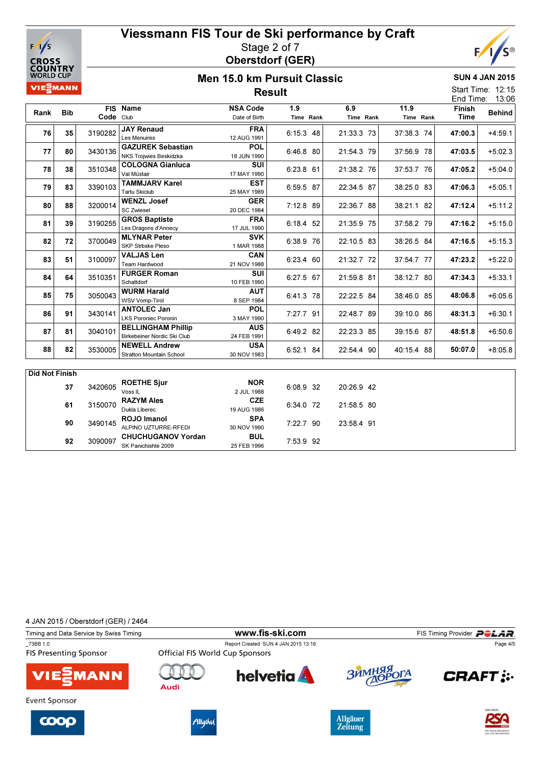



SUN 4 JAN 2015 Start Time: 12:15

#### Men 15.0 km Pursuit Classic Result

|                |            |               |                                 |                 | nesuit      |            |            | End Time:     | 13:06         |
|----------------|------------|---------------|---------------------------------|-----------------|-------------|------------|------------|---------------|---------------|
|                |            | <b>FIS</b>    | <b>Name</b>                     | <b>NSA Code</b> | 1.9         | 6.9        | 11.9       | <b>Finish</b> |               |
| Rank           | <b>Bib</b> | Code Club     |                                 | Date of Birth   | Time Rank   | Time Rank  | Time Rank  | Time          | <b>Behind</b> |
| 76             | 35         | 3190282       | <b>JAY Renaud</b>               | <b>FRA</b>      | $6:15.3$ 48 | 21:33.3 73 | 37:38.3 74 | 47:00.3       | $+4:59.1$     |
|                |            |               | Les Menuires                    | 12 AUG 1991     |             |            |            |               |               |
| 77             | 80         | 3430136       | <b>GAZUREK Sebastian</b>        | <b>POL</b>      | 6:46.8 80   | 21:54.3 79 | 37:56.9 78 | 47:03.5       | $+5:02.3$     |
|                |            |               | <b>NKS Trojwies Beskidzka</b>   | 18 JUN 1990     |             |            |            |               |               |
| 78             | 38         | 3510348       | <b>COLOGNA Gianluca</b>         | <b>SUI</b>      | 6:23.8 61   | 21:38.2 76 | 37:53.7 76 | 47:05.2       | $+5:04.0$     |
|                |            |               | Val Müstair                     | 17 MAY 1990     |             |            |            |               |               |
| 79             | 83         | 3390103       | <b>TAMMJARV Karel</b>           | <b>EST</b>      | 6:59.5 87   | 22:34.5 87 | 38:25.0 83 | 47:06.3       | $+5:05.1$     |
|                |            |               | <b>Tartu Skiclub</b>            | 25 MAY 1989     |             |            |            |               |               |
| 80             | 88         | 3200014       | <b>WENZL Josef</b>              | <b>GER</b>      | 7:12.8 89   | 22:36.7 88 | 38:21.1 82 | 47:12.4       | $+5:11.2$     |
|                |            |               | <b>SC Zwiesel</b>               | 20 DEC 1984     |             |            |            |               |               |
| 81             |            | 3190255<br>39 | <b>GROS Baptiste</b>            | <b>FRA</b>      | 6:18.4 52   | 21:35.9 75 | 37:58.2 79 | 47:16.2       | $+5:15.0$     |
|                |            |               | Les Dragons d'Annecy            | 17 JUL 1990     |             |            |            |               |               |
| 82             | 72         | 3700049       | <b>MLYNAR Peter</b>             | <b>SVK</b>      | 6:38.9 76   | 22:10.5 83 | 38:26.5 84 | 47:16.5       | $+5:15.3$     |
|                |            |               | <b>SKP Strbske Pleso</b>        | 1 MAR 1988      |             |            |            |               |               |
| 83             |            | 51<br>3100097 | <b>VALJAS Len</b>               | <b>CAN</b>      | 6:23.4 60   | 21:32.7 72 | 37:54.7 77 | 47:23.2       | $+5:22.0$     |
|                |            |               | Team Hardwood                   | 21 NOV 1988     |             |            |            |               |               |
| 84             | 64         | 3510351       | <b>FURGER Roman</b>             | <b>SUI</b>      | 6:27.5 67   | 21:59.8 81 | 38:12.7 80 | 47:34.3       | $+5:33.1$     |
|                |            |               | Schattdorf                      | 10 FEB 1990     |             |            |            |               |               |
| 85             | 75         | 3050043       | <b>WURM Harald</b>              | <b>AUT</b>      | 6:41.3 78   | 22:22.5 84 | 38:46.0 85 | 48:06.8       | $+6:05.6$     |
|                |            |               | <b>WSV Vomp-Tirol</b>           | 8 SEP 1984      |             |            |            |               |               |
| 86             | 91         | 3430141       | <b>ANTOLEC Jan</b>              | <b>POL</b>      | 7:27.7 91   | 22:48.7 89 | 39:10.0 86 | 48:31.3       | $+6:30.1$     |
|                |            |               | <b>LKS Poroniec Poronin</b>     | 3 MAY 1990      |             |            |            |               |               |
| 87             | 81         | 3040101       | <b>BELLINGHAM Phillip</b>       | <b>AUS</b>      | 6:49.2 82   | 22:23.3 85 | 39:15.6 87 | 48:51.8       | $+6:50.6$     |
|                |            |               | Birkebeiner Nordic Ski Club     | 24 FEB 1991     |             |            |            |               |               |
| 88             | 82         | 3530005       | <b>NEWELL Andrew</b>            | <b>USA</b>      | 6:52.1 84   | 22:54.4 90 | 40:15.4 88 | 50:07.0       | $+8.05.8$     |
|                |            |               | <b>Stratton Mountain School</b> | 30 NOV 1983     |             |            |            |               |               |
|                |            |               |                                 |                 |             |            |            |               |               |
| Did Not Finish |            |               |                                 |                 |             |            |            |               |               |

| Did Not Finish |         |                           |             |           |  |            |
|----------------|---------|---------------------------|-------------|-----------|--|------------|
| 37             | 3420605 | <b>ROETHE Sjur</b>        | <b>NOR</b>  | 6:08.9 32 |  | 20:26.9 42 |
|                |         | Voss <sub>IL</sub>        | 2 JUL 1988  |           |  |            |
| 61             | 3150070 | <b>RAZYM Ales</b>         | <b>CZE</b>  | 6:34.0 72 |  | 21:58.5 80 |
|                |         | Dukla Liberec             | 19 AUG 1986 |           |  |            |
|                | 3490145 | ROJO Imanol               | <b>SPA</b>  |           |  | 23:58.4 91 |
| 90             |         | ALPINO UZTURRE-RFEDI      | 30 NOV 1990 | 7:22.7 90 |  |            |
|                |         | <b>CHUCHUGANOV Yordan</b> | <b>BUL</b>  |           |  |            |
| 92             | 3090097 | SK Panichishte 2009       | 25 FEB 1996 | 7:53.9 92 |  |            |